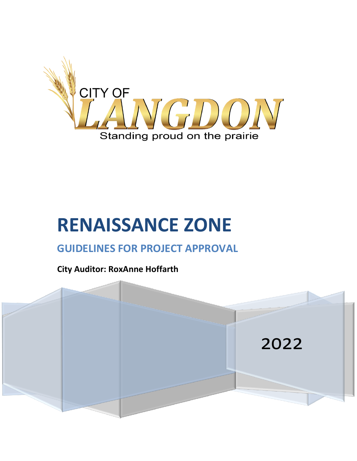

# **RENAISSANCE ZONE**

# **GUIDELINES FOR PROJECT APPROVAL**

**City Auditor: RoxAnne Hoffarth**

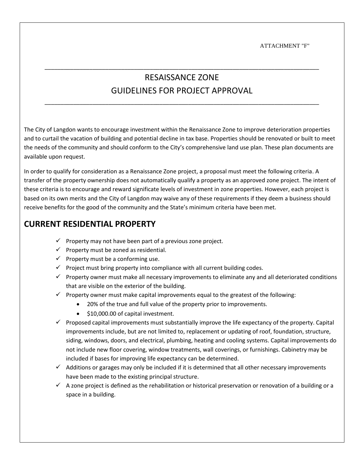ATTACHMENT "F"

## RESAISSANCE ZONE GUIDELINES FOR PROJECT APPROVAL

\_\_\_\_\_\_\_\_\_\_\_\_\_\_\_\_\_\_\_\_\_\_\_\_\_\_\_\_\_\_\_\_\_\_\_\_\_\_\_\_\_\_\_\_\_\_\_\_\_\_\_\_\_\_\_\_\_\_\_\_\_\_\_\_\_\_\_\_\_\_\_\_\_\_\_\_\_\_\_\_\_\_\_\_\_\_

\_\_\_\_\_\_\_\_\_\_\_\_\_\_\_\_\_\_\_\_\_\_\_\_\_\_\_\_\_\_\_\_\_\_\_\_\_\_\_\_\_\_\_\_\_\_\_\_\_\_\_\_\_\_\_\_\_\_\_\_\_\_\_\_\_\_\_\_\_\_\_\_\_\_\_\_\_\_\_\_\_\_\_\_\_\_

The City of Langdon wants to encourage investment within the Renaissance Zone to improve deterioration properties and to curtail the vacation of building and potential decline in tax base. Properties should be renovated or built to meet the needs of the community and should conform to the City's comprehensive land use plan. These plan documents are available upon request.

In order to qualify for consideration as a Renaissance Zone project, a proposal must meet the following criteria. A transfer of the property ownership does not automatically qualify a property as an approved zone project. The intent of these criteria is to encourage and reward significate levels of investment in zone properties. However, each project is based on its own merits and the City of Langdon may waive any of these requirements if they deem a business should receive benefits for the good of the community and the State's minimum criteria have been met.

#### **CURRENT RESIDENTIAL PROPERTY**

- $\checkmark$  Property may not have been part of a previous zone project.
- $\checkmark$  Property must be zoned as residential.
- $\checkmark$  Property must be a conforming use.
- $\checkmark$  Project must bring property into compliance with all current building codes.
- $\checkmark$  Property owner must make all necessary improvements to eliminate any and all deteriorated conditions that are visible on the exterior of the building.
- $\checkmark$  Property owner must make capital improvements equal to the greatest of the following:
	- 20% of the true and full value of the property prior to improvements.
	- \$10,000.00 of capital investment.
- $\checkmark$  Proposed capital improvements must substantially improve the life expectancy of the property. Capital improvements include, but are not limited to, replacement or updating of roof, foundation, structure, siding, windows, doors, and electrical, plumbing, heating and cooling systems. Capital improvements do not include new floor covering, window treatments, wall coverings, or furnishings. Cabinetry may be included if bases for improving life expectancy can be determined.
- $\checkmark$  Additions or garages may only be included if it is determined that all other necessary improvements have been made to the existing principal structure.
- $\checkmark$  A zone project is defined as the rehabilitation or historical preservation or renovation of a building or a space in a building.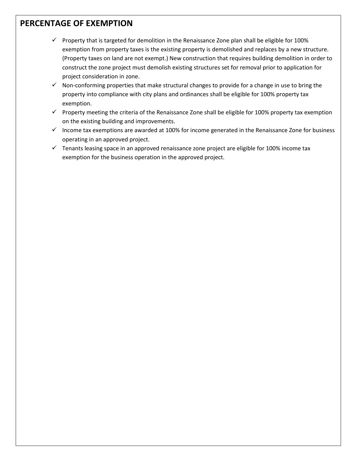#### **PERCENTAGE OF EXEMPTION**

- $\checkmark$  Property that is targeted for demolition in the Renaissance Zone plan shall be eligible for 100% exemption from property taxes is the existing property is demolished and replaces by a new structure. (Property taxes on land are not exempt.) New construction that requires building demolition in order to construct the zone project must demolish existing structures set for removal prior to application for project consideration in zone.
- $\checkmark$  Non-conforming properties that make structural changes to provide for a change in use to bring the property into compliance with city plans and ordinances shall be eligible for 100% property tax exemption.
- ✓ Property meeting the criteria of the Renaissance Zone shall be eligible for 100% property tax exemption on the existing building and improvements.
- $\checkmark$  Income tax exemptions are awarded at 100% for income generated in the Renaissance Zone for business operating in an approved project.
- ✓ Tenants leasing space in an approved renaissance zone project are eligible for 100% income tax exemption for the business operation in the approved project.